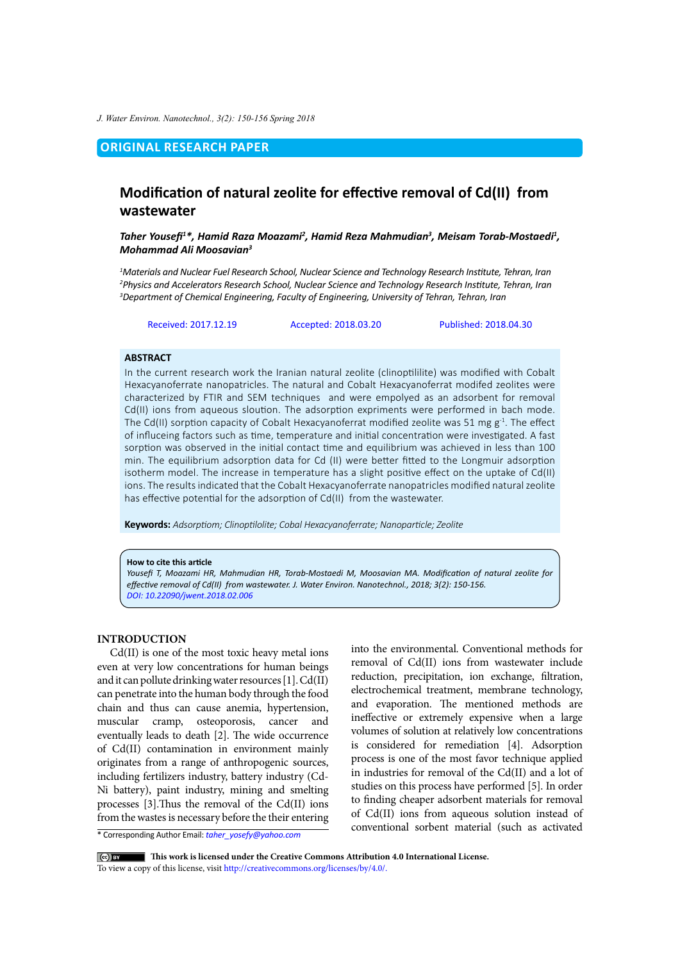*J. Water Environ. Nanotechnol., 3(2): 150-156 Spring 2018*

# **ORIGINAL RESEARCH PAPER**

# **Modification of natural zeolite for effective removal of Cd(II) from wastewater**

*Taher Yousefi<sup>1</sup> \*, Hamid Raza Moazami2 , Hamid Reza Mahmudian3 , Meisam Torab-Mostaedi1 , Mohammad Ali Moosavian3*

*1 Materials and Nuclear Fuel Research School, Nuclear Science and Technology Research Institute, Tehran, Iran 2 Physics and Accelerators Research School, Nuclear Science and Technology Research Institute, Tehran, Iran 3 Department of Chemical Engineering, Faculty of Engineering, University of Tehran, Tehran, Iran*

Received: 2017.12.19 Accepted: 2018.03.20 Published: 2018.04.30

### **ABSTRACT**

In the current research work the Iranian natural zeolite (clinoptililite) was modified with Cobalt Hexacyanoferrate nanopatricles. The natural and Cobalt Hexacyanoferrat modifed zeolites were characterized by FTIR and SEM techniques and were empolyed as an adsorbent for removal Cd(II) ions from aqueous sloution. The adsorption expriments were performed in bach mode. The Cd(II) sorption capacity of Cobalt Hexacyanoferrat modified zeolite was 51 mg  $g^{-1}$ . The effect of influceing factors such as time, temperature and initial concentration were investigated. A fast sorption was observed in the initial contact time and equilibrium was achieved in less than 100 min. The equilibrium adsorption data for Cd (II) were better fitted to the Longmuir adsorption isotherm model. The increase in temperature has a slight positive effect on the uptake of Cd(II) ions. The results indicated that the Cobalt Hexacyanoferrate nanopatricles modified natural zeolite has effective potential for the adsorption of Cd(II) from the wastewater.

**Keywords:** *Adsorptiom; Clinoptilolite; Cobal Hexacyanoferrate; Nanoparticle; Zeolite*

#### **How to cite this article**

*Yousefi T, Moazami HR, Mahmudian HR, Torab-Mostaedi M, Moosavian MA. Modification of natural zeolite for effective removal of Cd(II) from wastewater. J. Water Environ. Nanotechnol., 2018; 3(2): 150-156. [DOI: 10.22090/jwent.2018.02.00](DX.DOI.ORG/10.22090/jwent.2018.02.006)6*

### **INTRODUCTION**

Cd(II) is one of the most toxic heavy metal ions even at very low concentrations for human beings and it can pollute drinking water resources [1]. Cd(II) can penetrate into the human body through the food chain and thus can cause anemia, hypertension, muscular cramp, osteoporosis, cancer and eventually leads to death [2]. The wide occurrence of Cd(II) contamination in environment mainly originates from a range of anthropogenic sources, including fertilizers industry, battery industry (Cd-Ni battery), paint industry, mining and smelting processes [3].Thus the removal of the Cd(II) ions from the wastes is necessary before the their entering

into the environmental. Conventional methods for removal of Cd(II) ions from wastewater include reduction, precipitation, ion exchange, filtration, electrochemical treatment, membrane technology, and evaporation. The mentioned methods are ineffective or extremely expensive when a large volumes of solution at relatively low concentrations is considered for remediation [4]. Adsorption process is one of the most favor technique applied in industries for removal of the Cd(II) and a lot of studies on this process have performed [5]. In order to finding cheaper adsorbent materials for removal of Cd(II) ions from aqueous solution instead of conventional sorbent material (such as activated

\* Corresponding Author Email: *taher\_yosefy@yahoo.com*

 **This work is licensed under the Creative Commons Attribution 4.0 International License.** To view a copy of this license, visit<http://creativecommons.org/licenses/by/4.0/.>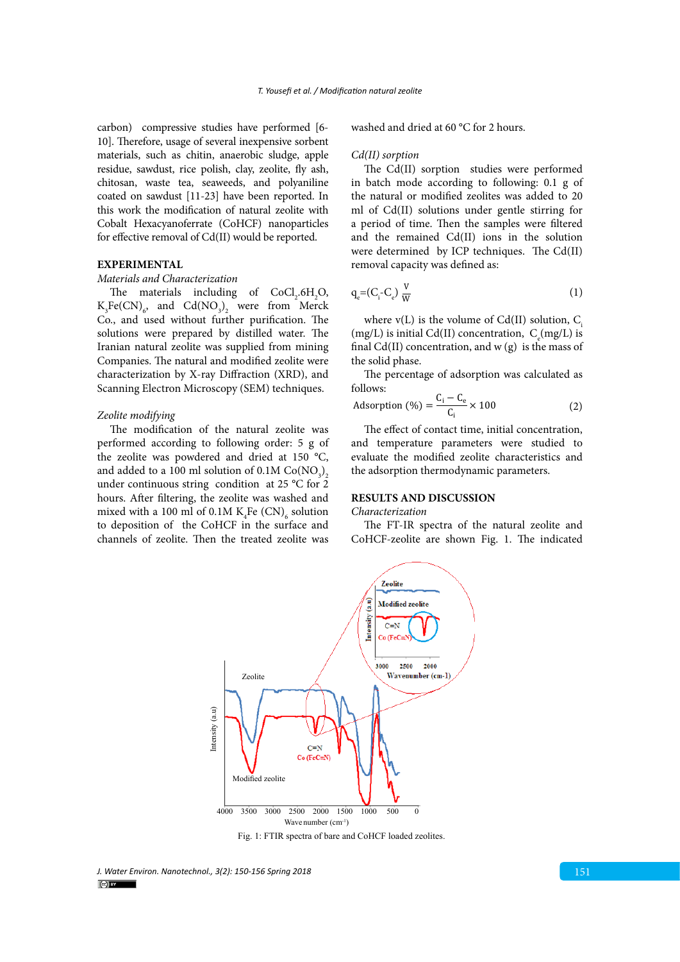carbon) compressive studies have performed [6- 10]. Therefore, usage of several inexpensive sorbent materials, such as chitin, anaerobic sludge, apple residue, sawdust, rice polish, clay, zeolite, fly ash, chitosan, waste tea, seaweeds, and polyaniline coated on sawdust [11-23] have been reported. In this work the modification of natural zeolite with Cobalt Hexacyanoferrate (CoHCF) nanoparticles for effective removal of Cd(II) would be reported.

# **EXPERIMENTAL**

### *Materials and Characterization*

The materials including of  $CoCl<sub>2</sub>.6H<sub>2</sub>O$ ,  $K_{3}Fe(CN)_{6}$ , and  $Cd(NO_{3})_{2}$  were from Merck Co., and used without further purification. The solutions were prepared by distilled water. The Iranian natural zeolite was supplied from mining Companies. The natural and modified zeolite were characterization by X-ray Diffraction (XRD), and Scanning Electron Microscopy (SEM) techniques.

#### *Zeolite modifying*

The modification of the natural zeolite was performed according to following order: 5 g of the zeolite was powdered and dried at 150 °C, and added to a 100 ml solution of 0.1M  $\mathrm{Co}(\mathrm{NO}_3)_2$ under continuous string condition at 25 °C for 2 hours. After filtering, the zeolite was washed and mixed with a 100 ml of 0.1M  $K_4$ Fe  $(CN)_{6}$  solution to deposition of the CoHCF in the surface and channels of zeolite. Then the treated zeolite was

washed and dried at 60 °C for 2 hours.

### *Cd(II) sorption*

The Cd(II) sorption studies were performed in batch mode according to following: 0.1 g of the natural or modified zeolites was added to 20 ml of Cd(II) solutions under gentle stirring for a period of time. Then the samples were filtered and the remained Cd(II) ions in the solution were determined by ICP techniques. The Cd(II) removal capacity was defined as:

$$
q_e = (C_i - C_e) \frac{V}{W}
$$
 (1)

where  $v(L)$  is the volume of Cd(II) solution, C. (mg/L) is initial Cd(II) concentration,  $C_e$ (mg/L) is final Cd(II) concentration, and  $w(g)$  is the mass of the solid phase.

The percentage of adsorption was calculated as follows:

Adsorption (%) = 
$$
\frac{C_i - C_e}{C_i} \times 100
$$
 (2)

The effect of contact time, initial concentration, and temperature parameters were studied to evaluate the modified zeolite characteristics and the adsorption thermodynamic parameters.

## **RESULTS AND DISCUSSION**

#### *Characterization*

The FT-IR spectra of the natural zeolite and CoHCF-zeolite are shown Fig. 1. The indicated



Fig. 1: FTIR spectra of bare and CoHCF loaded zeolites.

*J. Water Environ. Nanotechnol., 3(2): 150-156 Spring 2018* 151  $\left(\begin{matrix} 1 \\ 1 \end{matrix}\right)$  BY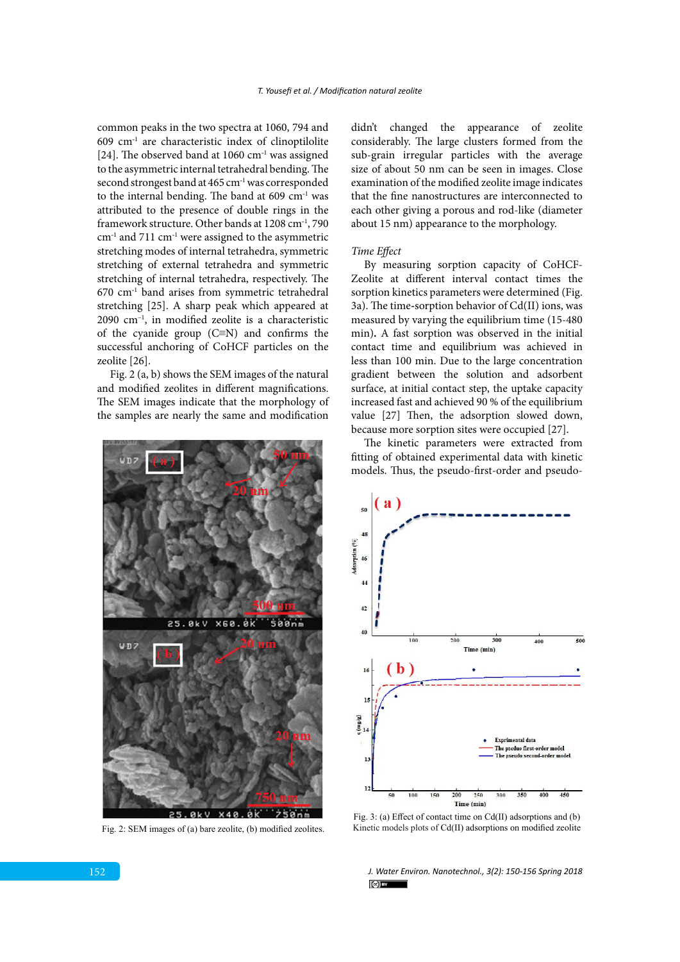common peaks in the two spectra at 1060, 794 and  $609$  cm<sup>-1</sup> are characteristic index of clinoptilolite [24]. The observed band at 1060  $cm^{-1}$  was assigned to the asymmetric internal tetrahedral bending. The second strongest band at 465 cm<sup>-1</sup> was corresponded to the internal bending. The band at  $609 \text{ cm}^{-1}$  was attributed to the presence of double rings in the framework structure. Other bands at 1208 cm<sup>-1</sup>, 790  $cm<sup>-1</sup>$  and 711  $cm<sup>-1</sup>$  were assigned to the asymmetric stretching modes of internal tetrahedra, symmetric stretching of external tetrahedra and symmetric stretching of internal tetrahedra, respectively. The  $670$   $cm<sup>-1</sup>$  band arises from symmetric tetrahedral stretching [25]. A sharp peak which appeared at 2090 cm–1, in modified zeolite is a characteristic of the cyanide group (C≡N) and confirms the successful anchoring of CoHCF particles on the zeolite [26].

Fig. 2 (a, b) shows the SEM images of the natural and modified zeolites in different magnifications. The SEM images indicate that the morphology of the samples are nearly the same and modification



Fig. 2: SEM images of (a) bare zeolite, (b) modified zeolites.

didn't changed the appearance of zeolite considerably. The large clusters formed from the sub-grain irregular particles with the average size of about 50 nm can be seen in images. Close examination of the modified zeolite image indicates that the fine nanostructures are interconnected to each other giving a porous and rod-like (diameter about 15 nm) appearance to the morphology.

### *Time Effect*

By measuring sorption capacity of CoHCF-Zeolite at different interval contact times the sorption kinetics parameters were determined (Fig. 3a). The time**-**sorption behavior of Cd(II) ions, was measured by varying the equilibrium time (15-480 min)**.** A fast sorption was observed in the initial contact time and equilibrium was achieved in less than 100 min. Due to the large concentration gradient between the solution and adsorbent surface, at initial contact step, the uptake capacity increased fast and achieved 90 % of the equilibrium value [27] Then, the adsorption slowed down, because more sorption sites were occupied [27].

The kinetic parameters were extracted from fitting of obtained experimental data with kinetic models. Thus, the pseudo-first-order and pseudo-



Fig. 3: (a) Effect of contact time on Cd(II) adsorptions and (b) Kinetic models plots of Cd(II) adsorptions on modified zeolite

*J. Water Environ. Nanotechnol., 3(2): 150-156 Spring 2018*  $(c)$  BY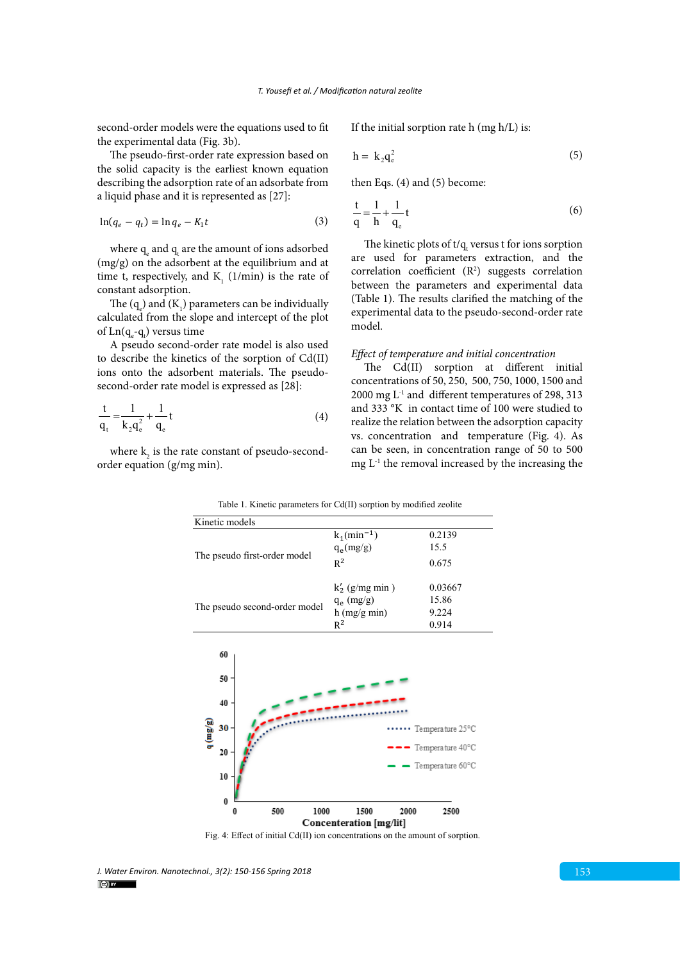second-order models were the equations used to fit the experimental data (Fig. 3b).

The pseudo-first-order rate expression based on the solid capacity is the earliest known equation describing the adsorption rate of an adsorbate from a liquid phase and it is represented as [27]:

$$
\ln(q_e - q_t) = \ln q_e - K_1 t \tag{3}
$$

where  $q_{e}$  and  $q_{t}$  are the amount of ions adsorbed (mg/g) on the adsorbent at the equilibrium and at time t, respectively, and  $K<sub>1</sub>$  (1/min) is the rate of constant adsorption.

The  $(q_e)$  and  $(K_1)$  parameters can be individually calculated from the slope and intercept of the plot of  $\text{Ln}(\text{q}_{e}\text{-}\text{q}_{t})$  versus time

A pseudo second-order rate model is also used to describe the kinetics of the sorption of Cd(II) ions onto the adsorbent materials. The pseudosecond-order rate model is expressed as [28]:

$$
\frac{t}{q_t} = \frac{1}{k_2 q_e^2} + \frac{1}{q_e} t
$$
 (4)

where  $\mathbf{k}_2$  is the rate constant of pseudo-secondorder equation (g/mg min).

Kinetic models

If the initial sorption rate h (mg h/L) is:

$$
h = k_2 q_e^2 \tag{5}
$$

then Eqs. (4) and (5) become:

$$
\frac{t}{q} = \frac{1}{h} + \frac{1}{q_e}t\tag{6}
$$

The kinetic plots of  $t/q_t$  versus t for ions sorption are used for parameters extraction, and the correlation coefficient  $(R^2)$  suggests correlation between the parameters and experimental data (Table 1). The results clarified the matching of the experimental data to the pseudo-second-order rate model.

### *Effect of temperature and initial concentration*

The Cd(II) sorption at different initial concentrations of 50, 250, 500, 750, 1000, 1500 and 2000 mg  $L^{-1}$  and different temperatures of 298, 313 and 333 °K in contact time of 100 were studied to realize the relation between the adsorption capacity vs. concentration and temperature (Fig. 4). As can be seen, in concentration range of 50 to 500 mg  $L<sup>-1</sup>$  the removal increased by the increasing the

| <b>IVIIIAIIA</b> IIIANAIS                          |                                         |                                                          |
|----------------------------------------------------|-----------------------------------------|----------------------------------------------------------|
| The pseudo first-order model                       | $k_1(min^{-1})$<br>$q_e(mg/g)$          | 0.2139<br>15.5                                           |
|                                                    | $R^2$<br>$k'_2$ (g/mg min)              | 0.675<br>0.03667                                         |
| The pseudo second-order model                      | $q_e$ (mg/g)<br>$h$ (mg/g min)<br>$R^2$ | 15.86<br>9.224<br>0.914                                  |
| 60<br>50<br>40<br>$q$ (mg/g)<br>$30 -$<br>20<br>10 |                                         | Temperature 25°C<br>Temperature 40°C<br>Temperature 60°C |

Table 1. Kinetic parameters for Cd(II) sorption by modified zeolite Table 1. Kinetic parameters for Cd(II) sorption by modified zeolite

Fig. 4: Effect of initial Cd(II) ion concentrations on the amount of sorption.

1500

Concenteration [mg/lit]

2000

2500

1000

0 L

500

*J. Water Environ. Nanotechnol., 3(2): 150-156 Spring 2018* 153  $\left(\begin{matrix} 1 \\ 1 \end{matrix}\right)$  BY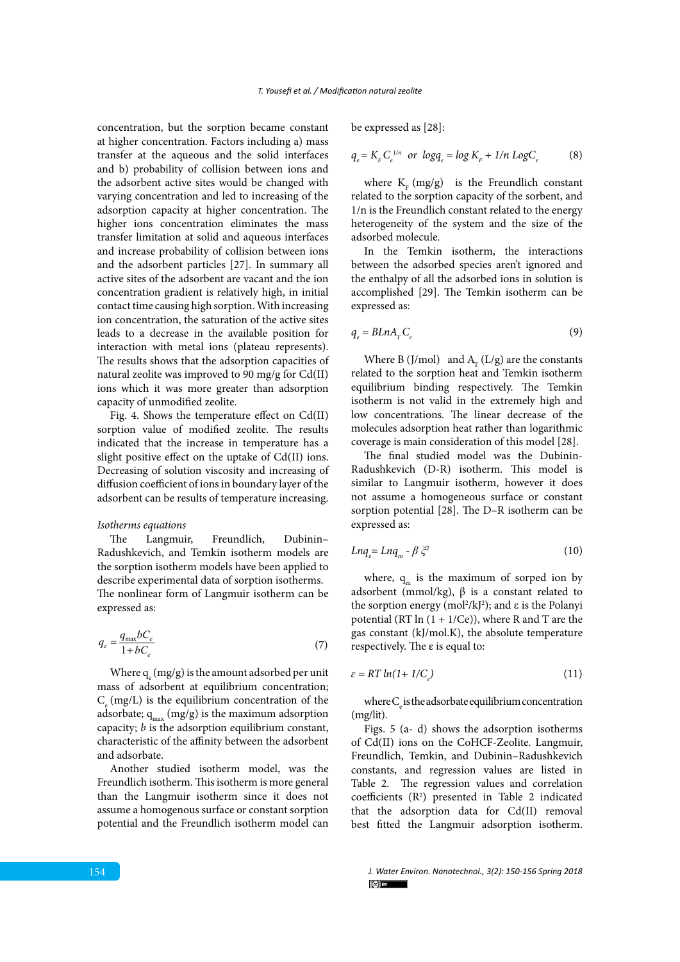concentration, but the sorption became constant at higher concentration. Factors including a) mass transfer at the aqueous and the solid interfaces and b) probability of collision between ions and the adsorbent active sites would be changed with varying concentration and led to increasing of the adsorption capacity at higher concentration. The higher ions concentration eliminates the mass transfer limitation at solid and aqueous interfaces and increase probability of collision between ions and the adsorbent particles [27]. In summary all active sites of the adsorbent are vacant and the ion concentration gradient is relatively high, in initial contact time causing high sorption. With increasing ion concentration, the saturation of the active sites leads to a decrease in the available position for interaction with metal ions (plateau represents). The results shows that the adsorption capacities of natural zeolite was improved to 90 mg/g for Cd(II) ions which it was more greater than adsorption capacity of unmodified zeolite.

Fig. 4. Shows the temperature effect on Cd(II) sorption value of modified zeolite. The results indicated that the increase in temperature has a slight positive effect on the uptake of Cd(II) ions. Decreasing of solution viscosity and increasing of diffusion coefficient of ions in boundary layer of the adsorbent can be results of temperature increasing.

### *Isotherms equations*

The Langmuir, Freundlich, Dubinin– Radushkevich, and Temkin isotherm models are the sorption isotherm models have been applied to describe experimental data of sorption isotherms. The nonlinear form of Langmuir isotherm can be expressed as:

$$
q_e = \frac{q_{\text{max}}bC_e}{1 + bC_e} \tag{7}
$$

Where  $q_e (mg/g)$  is the amount adsorbed per unit mass of adsorbent at equilibrium concentration;  $C_{\alpha}$  (mg/L) is the equilibrium concentration of the adsorbate;  $q_{max}$  (mg/g) is the maximum adsorption capacity; *b* is the adsorption equilibrium constant, characteristic of the affinity between the adsorbent and adsorbate.

Another studied isotherm model, was the Freundlich isotherm. This isotherm is more general than the Langmuir isotherm since it does not assume a homogenous surface or constant sorption potential and the Freundlich isotherm model can be expressed as [28]:

$$
q_e = K_F C_e^{\ 1/n} \ \ or \ \ logq_e = \log K_F + \ 1/n \ Log C_e \tag{8}
$$

where  $K<sub>r</sub>$  (mg/g) is the Freundlich constant related to the sorption capacity of the sorbent, and 1/n is the Freundlich constant related to the energy heterogeneity of the system and the size of the adsorbed molecule.

In the Temkin isotherm, the interactions between the adsorbed species aren't ignored and the enthalpy of all the adsorbed ions in solution is accomplished [29]. The Temkin isotherm can be expressed as:

$$
q_e = BLnA_rC_e \tag{9}
$$

Where B (J/mol) and  $A_r$  (L/g) are the constants related to the sorption heat and Temkin isotherm equilibrium binding respectively. The Temkin isotherm is not valid in the extremely high and low concentrations. The linear decrease of the molecules adsorption heat rather than logarithmic coverage is main consideration of this model [28].

The final studied model was the Dubinin-Radushkevich (D-R) isotherm. This model is similar to Langmuir isotherm, however it does not assume a homogeneous surface or constant sorption potential [28]. The D–R isotherm can be expressed as:

$$
Lnq_e = Lnq_m - \beta \xi^2 \tag{10}
$$

where,  $q_m$  is the maximum of sorped ion by adsorbent (mmol/kg),  $β$  is a constant related to the sorption energy (mol<sup>2</sup>/kJ<sup>2</sup>); and ε is the Polanyi potential (RT  $\ln(1 + 1/Ce)$ ), where R and T are the gas constant (kJ/mol.K), the absolute temperature respectively. The ε is equal to:

$$
\varepsilon = RT \ln(1 + 1/C_e) \tag{11}
$$

where  $C_e$  is the adsorbate equilibrium concentration (mg/lit).

Figs. 5 (a- d) shows the adsorption isotherms of Cd(II) ions on the CoHCF-Zeolite. Langmuir, Freundlich, Temkin, and Dubinin–Radushkevich constants, and regression values are listed in Table 2. The regression values and correlation coefficients (R2 ) presented in Table 2 indicated that the adsorption data for Cd(II) removal best fitted the Langmuir adsorption isotherm.

*J. Water Environ. Nanotechnol., 3(2): 150-156 Spring 2018*  $\left( \infty\right)$  BY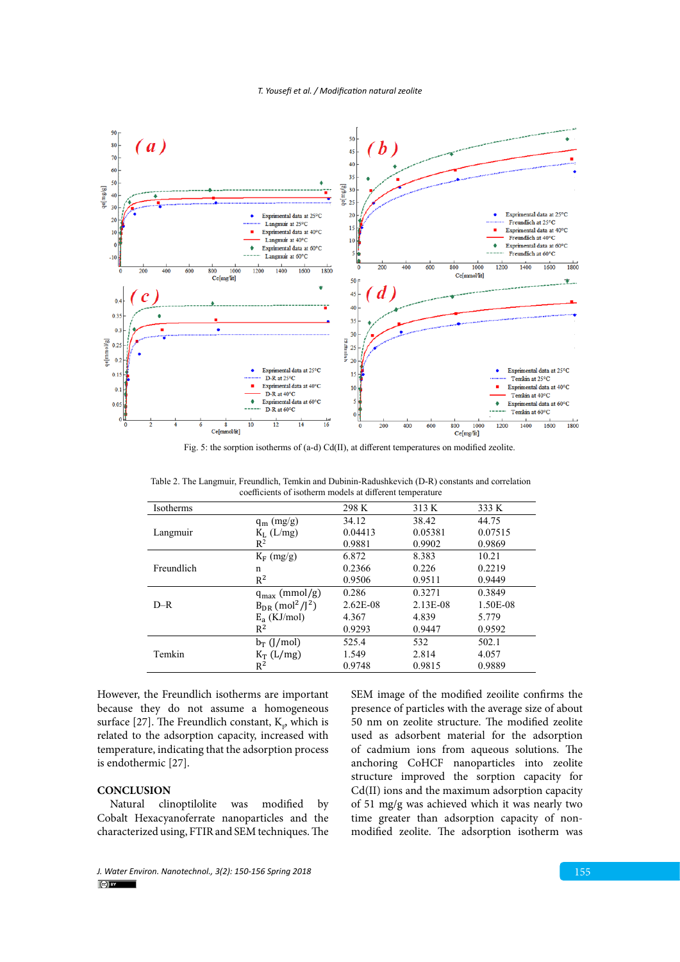

Fig. 5: the sorption isotherms of (a-d) Cd(II), at different temperatures on modified zeolite.

Table 2. The Langmuir, Freundlich, Temkin and Dubinin-Radushkevich (D-R) constants and correlation coefficients of isotherm Table 2. The Langmuir, Freundlich, Temkin and Dubinin-Radushkevich (D-R) constants and correlation coefficients of isotherm models at different temperature

| Isotherms  |                                              | 298 K      | 313 K    | 333 K    |
|------------|----------------------------------------------|------------|----------|----------|
|            | $q_m$ (mg/g)                                 | 34.12      | 38.42    | 44.75    |
| Langmuir   | $K_L$ (L/mg)                                 | 0.04413    | 0.05381  | 0.07515  |
|            | $\mathbb{R}^2$                               | 0.9881     | 0.9902   | 0.9869   |
|            | $K_F$ (mg/g)                                 | 6.872      | 8.383    | 10.21    |
| Freundlich | n                                            | 0.2366     | 0.226    | 0.2219   |
|            | $R^2$                                        | 0.9506     | 0.9511   | 0.9449   |
| $D-R$      | $q_{max}$ (mmol/g)                           | 0.286      | 0.3271   | 0.3849   |
|            | $B_{DR}$ (mol <sup>2</sup> /J <sup>2</sup> ) | $2.62E-08$ | 2.13E-08 | 1.50E-08 |
|            | $E_a$ (KJ/mol)                               | 4.367      | 4.839    | 5.779    |
|            | $R^2$                                        | 0.9293     | 0.9447   | 0.9592   |
| Temkin     | $b_T$ ([/mol)                                | 525.4      | 532      | 502.1    |
|            | $K_T(L/mg)$                                  | 1.549      | 2.814    | 4.057    |
|            | $R^2$                                        | 0.9748     | 0.9815   | 0.9889   |
|            |                                              |            |          |          |

However, the Freundlich isotherms are important because they do not assume a homogeneous surface [27]. The Freundlich constant,  $K_{p}$ , which is related to the adsorption capacity, increased with temperature, indicating that the adsorption process is endothermic [27].

# **CONCLUSION**

Natural clinoptilolite was modified by Cobalt Hexacyanoferrate nanoparticles and the characterized using, FTIR and SEM techniques. The presence of particles with the average size of about 50 nm on zeolite structure. The modified zeolite used as adsorbent material for the adsorption of cadmium ions from aqueous solutions. The anchoring CoHCF nanoparticles into zeolite structure improved the sorption capacity for Cd(II) ions and the maximum adsorption capacity of 51 mg/g was achieved which it was nearly two time greater than adsorption capacity of nonmodified zeolite. The adsorption isotherm was

SEM image of the modified zeoilite confirms the